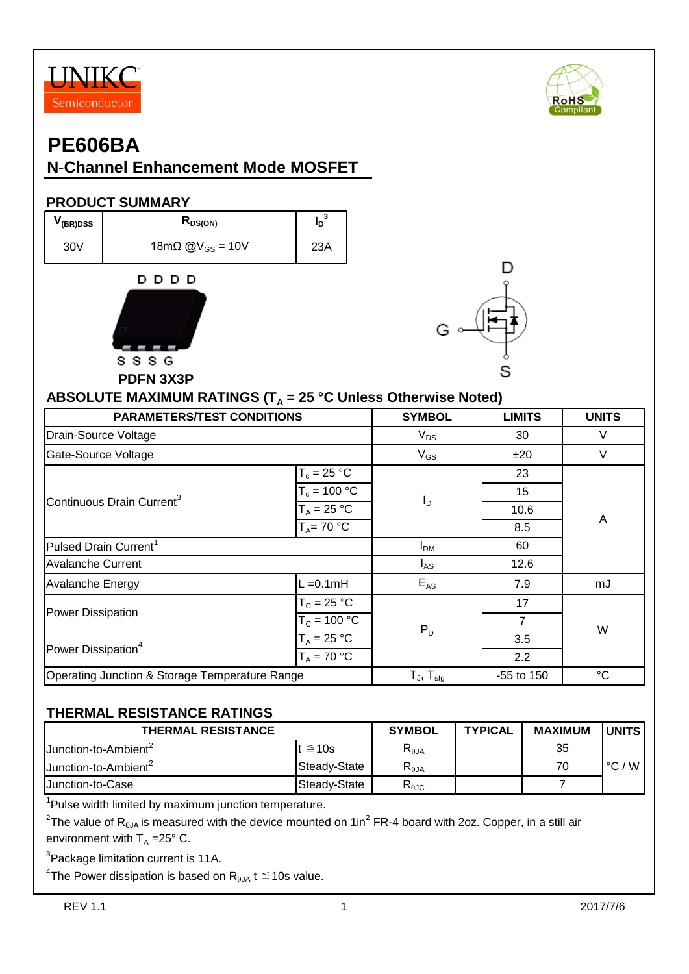



## **N-Channel Enhancement Mode MOSFET**

#### **PRODUCT SUMMARY**





### **ABSOLUTE MAXIMUM RATINGS (TA = 25 °C Unless Otherwise Noted)**

| <b>PARAMETERS/TEST CONDITIONS</b>              | <b>SYMBOL</b>   | <b>LIMITS</b>       | <b>UNITS</b> |                 |  |
|------------------------------------------------|-----------------|---------------------|--------------|-----------------|--|
| Drain-Source Voltage                           |                 | $V_{DS}$            | 30           | V               |  |
| Gate-Source Voltage                            |                 | $V_{GS}$            | ±20          | V               |  |
|                                                | $T_c = 25 °C$   |                     | 23           |                 |  |
| Continuous Drain Current <sup>3</sup>          | $T_c = 100 °C$  | $I_D$               | 15           | A               |  |
|                                                | $T_A = 25 °C$   |                     | 10.6         |                 |  |
|                                                | $T_A = 70 °C$   |                     | 8.5          |                 |  |
| Pulsed Drain Current <sup>1</sup>              | I <sub>DM</sub> | 60                  |              |                 |  |
| <b>Avalanche Current</b>                       |                 | $I_{AS}$            | 12.6         |                 |  |
| Avalanche Energy                               | $L = 0.1$ mH    | $E_{AS}$            | 7.9          | mJ              |  |
| Power Dissipation                              | $T_c = 25 °C$   |                     | 17           | W               |  |
|                                                | $T_c = 100 °C$  | $P_D$               | 7            |                 |  |
| Power Dissipation <sup>4</sup>                 | $T_A = 25 °C$   |                     | 3.5          |                 |  |
|                                                | $T_A = 70 °C$   |                     | 2.2          |                 |  |
| Operating Junction & Storage Temperature Range |                 | $T_{J}$ , $T_{sta}$ | -55 to 150   | $\rm ^{\circ}C$ |  |

#### **THERMAL RESISTANCE RATINGS**

| <b>THERMAL RESISTANCE</b>        | <b>SYMBOL</b> | <b>TYPICAL</b>                    | <b>MAXIMUM</b> | <b>UNITS</b> |                 |
|----------------------------------|---------------|-----------------------------------|----------------|--------------|-----------------|
| Junction-to-Ambient <sup>2</sup> | t $\leq 10$ s | $R_{\theta$ JA                    |                | 35           |                 |
| Junction-to-Ambient <sup>2</sup> | Steadv-State  | $\mathsf{R}_{\theta \mathsf{JA}}$ |                | 70           | $\degree$ C / W |
| IJunction-to-Case                | Steady-State  | $\mathsf{R}_{\theta\text{JC}}$    |                |              |                 |

<sup>1</sup>Pulse width limited by maximum junction temperature.

 $^2$ The value of R<sub>θJA</sub> is measured with the device mounted on 1in $^2$  FR-4 board with 2oz. Copper, in a still air environment with  $T_A = 25^\circ$  C.

<sup>3</sup>Package limitation current is 11A.

 $^4$ The Power dissipation is based on R $_{\rm \theta JA}$  t  $\leq$  10s value.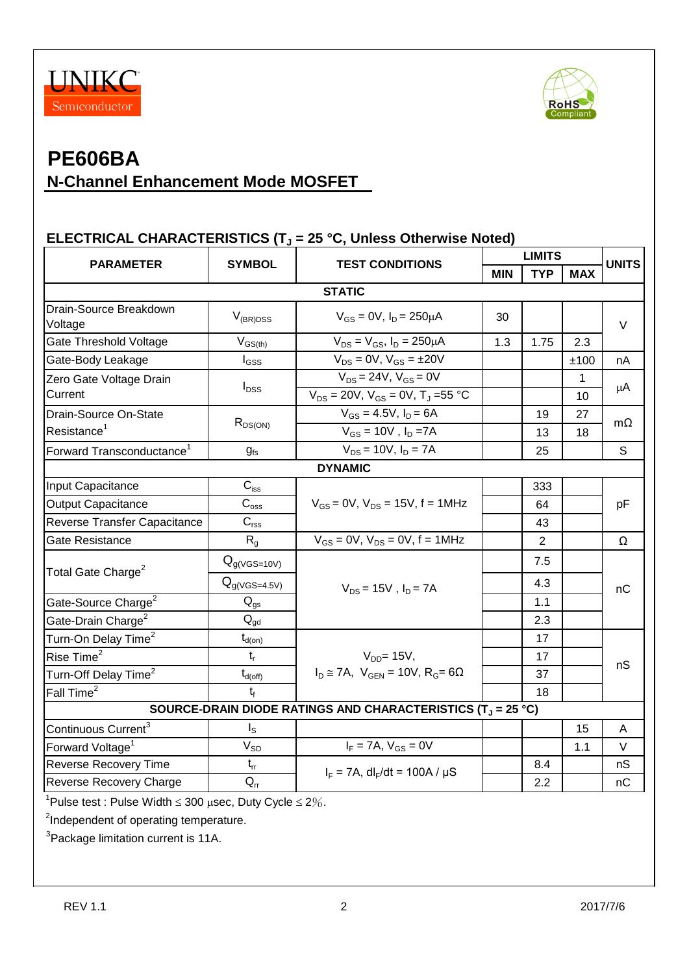



# **PE606BA N-Channel Enhancement Mode MOSFET**

### **ELECTRICAL CHARACTERISTICS (T<sup>J</sup> = 25 °C, Unless Otherwise Noted)**

|                                                                                   | <b>SYMBOL</b><br><b>TEST CONDITIONS</b>         |                                                                                  | <b>LIMITS</b> |                |                    | <b>UNITS</b> |  |
|-----------------------------------------------------------------------------------|-------------------------------------------------|----------------------------------------------------------------------------------|---------------|----------------|--------------------|--------------|--|
| <b>PARAMETER</b>                                                                  |                                                 |                                                                                  | <b>MIN</b>    | <b>TYP</b>     | <b>MAX</b>         |              |  |
| <b>STATIC</b>                                                                     |                                                 |                                                                                  |               |                |                    |              |  |
| Drain-Source Breakdown<br>Voltage                                                 | $V_{(BR)DSS}$                                   | $V_{GS} = 0V$ , $I_D = 250 \mu A$                                                | 30            |                |                    | $\vee$       |  |
| Gate Threshold Voltage                                                            | $V_{GS(th)}$                                    | $V_{DS} = V_{GS}$ , $I_D = 250 \mu A$                                            | 1.3           | 1.75           | 2.3                |              |  |
| Gate-Body Leakage                                                                 | $I_{GSS}$                                       | $V_{DS} = 0V$ , $V_{GS} = \pm 20V$                                               |               |                | ±100               | nA           |  |
| Zero Gate Voltage Drain<br>Current                                                | $I_{DSS}$                                       | $V_{DS} = 24V$ , $V_{GS} = 0V$<br>$V_{DS} = 20V$ , $V_{GS} = 0V$ , $T_J = 55$ °C |               |                | $\mathbf{1}$<br>10 | μA           |  |
| Drain-Source On-State<br>Resistance <sup>1</sup>                                  | $R_{DS(ON)}$                                    | $V_{GS} = 4.5V$ , $I_D = 6A$<br>$V_{GS} = 10V$ , $I_D = 7A$                      |               | 19<br>13       | 27<br>18           | $m\Omega$    |  |
| Forward Transconductance <sup>1</sup>                                             | $g_{fs}$                                        | $V_{DS}$ = 10V, $I_D$ = 7A                                                       |               | 25             |                    | S            |  |
|                                                                                   |                                                 | <b>DYNAMIC</b>                                                                   |               |                |                    |              |  |
| Input Capacitance                                                                 | $\mathbf{C}_{\text{iss}}$                       |                                                                                  |               | 333            |                    | pF           |  |
| Output Capacitance                                                                | $\mathbf{C}_{\text{oss}}$                       | $V_{GS} = 0V$ , $V_{DS} = 15V$ , f = 1MHz                                        |               | 64             |                    |              |  |
| Reverse Transfer Capacitance                                                      | $\mathbf{C}_{\text{rss}}$                       |                                                                                  |               | 43             |                    |              |  |
| Gate Resistance                                                                   | R <sub>g</sub>                                  | $V_{GS} = 0V$ , $V_{DS} = 0V$ , $f = 1MHz$                                       |               | $\overline{2}$ |                    | Ω            |  |
| Total Gate Charge <sup>2</sup>                                                    | $Q_{g(VGS=10V)}$                                |                                                                                  |               | 7.5            |                    |              |  |
|                                                                                   | $Q_{g(VGS=4.5V)}$<br>$V_{DS}$ = 15V, $I_D$ = 7A |                                                                                  |               | 4.3            |                    | nC           |  |
| Gate-Source Charge <sup>2</sup>                                                   | $\mathsf{Q}_{\mathsf{gs}}$                      |                                                                                  |               | 1.1            |                    |              |  |
| Gate-Drain Charge <sup>2</sup>                                                    | $Q_{qd}$                                        |                                                                                  |               | 2.3            |                    |              |  |
| Turn-On Delay Time <sup>2</sup>                                                   | $t_{d(on)}$                                     |                                                                                  |               | 17             |                    |              |  |
| Rise Time <sup>2</sup>                                                            | $t_{r}$                                         | $VDD = 15V$ ,                                                                    |               | 17             |                    | nS           |  |
| Turn-Off Delay Time <sup>2</sup>                                                  | $t_{d(\text{off})}$                             | $I_D \cong 7A$ , $V_{GFN} = 10V$ , $R_G = 6\Omega$                               |               | 37             |                    |              |  |
| Fall Time <sup>2</sup>                                                            | t                                               |                                                                                  |               | 18             |                    |              |  |
|                                                                                   |                                                 | SOURCE-DRAIN DIODE RATINGS AND CHARACTERISTICS (T <sub>J</sub> = 25 °C)          |               |                |                    |              |  |
| Continuous Current <sup>3</sup>                                                   | $I_{\rm S}$                                     |                                                                                  |               |                | 15                 | A            |  |
| Forward Voltage <sup>1</sup>                                                      | $V_{SD}$                                        | $I_F = 7A, V_{GS} = 0V$                                                          |               |                | 1.1                | $\vee$       |  |
| Reverse Recovery Time                                                             | $t_{rr}$                                        | $I_F = 7A$ , dl <sub>F</sub> /dt = 100A / $\mu$ S                                |               | 8.4            |                    | nS           |  |
| Reverse Recovery Charge                                                           | $\mathsf{Q}_{\mathsf{r}\mathsf{r}}$             |                                                                                  |               | 2.2            |                    | nС           |  |
| <sup>1</sup> Pulse test : Pulse Width $\leq$ 300 $\mu$ sec, Duty Cycle $\leq$ 2%. |                                                 |                                                                                  |               |                |                    |              |  |

<sup>2</sup>Independent of operating temperature.

<sup>3</sup>Package limitation current is 11A.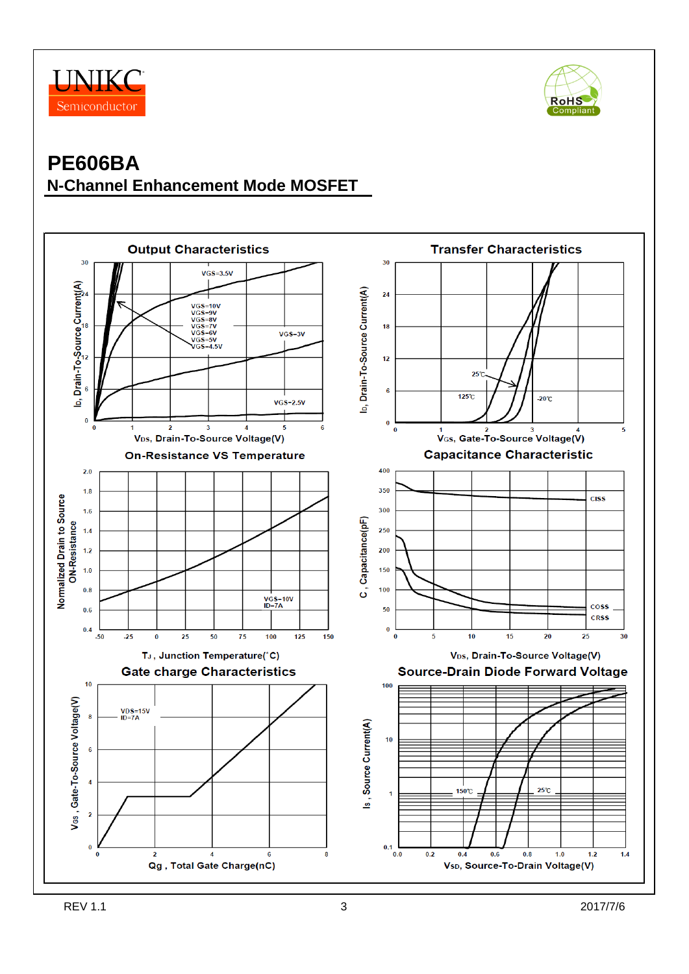



## **PE606BA N-Channel Enhancement Mode MOSFET**

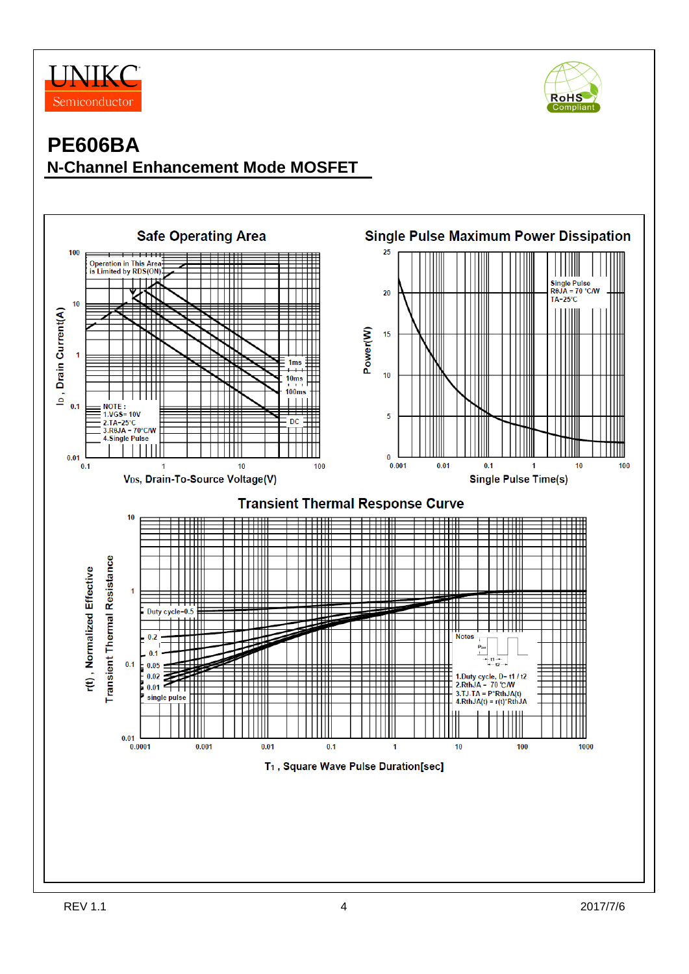



## **PE606BA N-Channel Enhancement Mode MOSFET**

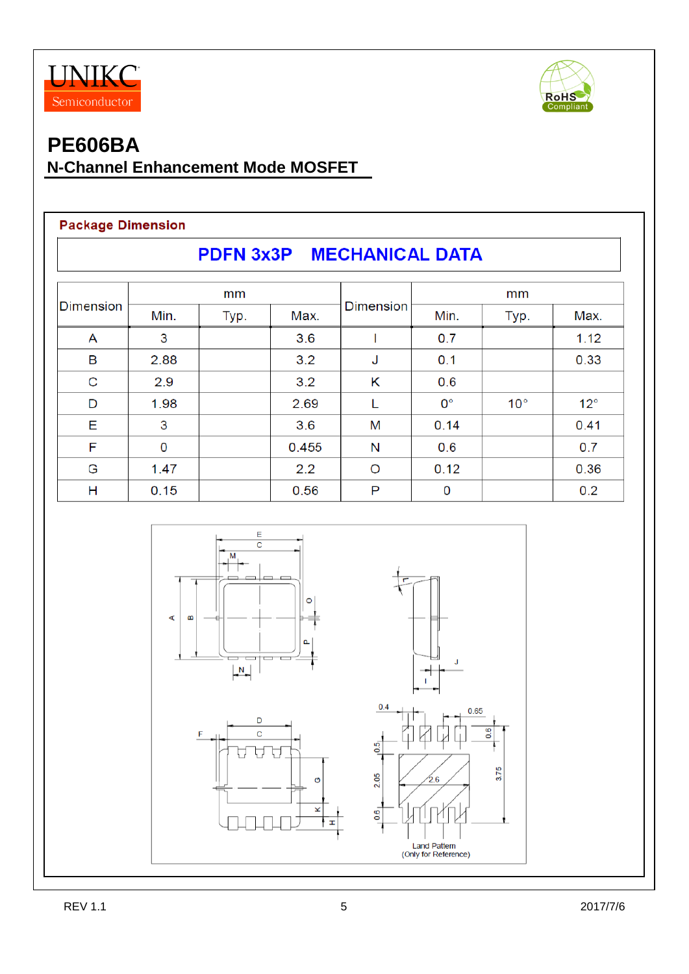



## **N-Channel Enhancement Mode MOSFET**

#### **Package Dimension**

| PDFN 3x3P MECHANICAL DATA |      |      |       |                  |             |              |              |  |
|---------------------------|------|------|-------|------------------|-------------|--------------|--------------|--|
| <b>Dimension</b>          | mm   |      |       |                  | mm          |              |              |  |
|                           | Min. | Typ. | Max.  | <b>Dimension</b> | Min.        | Typ.         | Max.         |  |
| A                         | 3    |      | 3.6   |                  | 0.7         |              | 1.12         |  |
| В                         | 2.88 |      | 3.2   | J                | 0.1         |              | 0.33         |  |
| C                         | 2.9  |      | 3.2   | Κ                | 0.6         |              |              |  |
| D                         | 1.98 |      | 2.69  |                  | $0^{\circ}$ | $10^{\circ}$ | $12^{\circ}$ |  |
| Е                         | 3    |      | 3.6   | M                | 0.14        |              | 0.41         |  |
| F                         | 0    |      | 0.455 | N                | 0.6         |              | 0.7          |  |
| G                         | 1.47 |      | 2.2   | O                | 0.12        |              | 0.36         |  |
| н                         | 0.15 |      | 0.56  | P                | 0           |              | 0.2          |  |

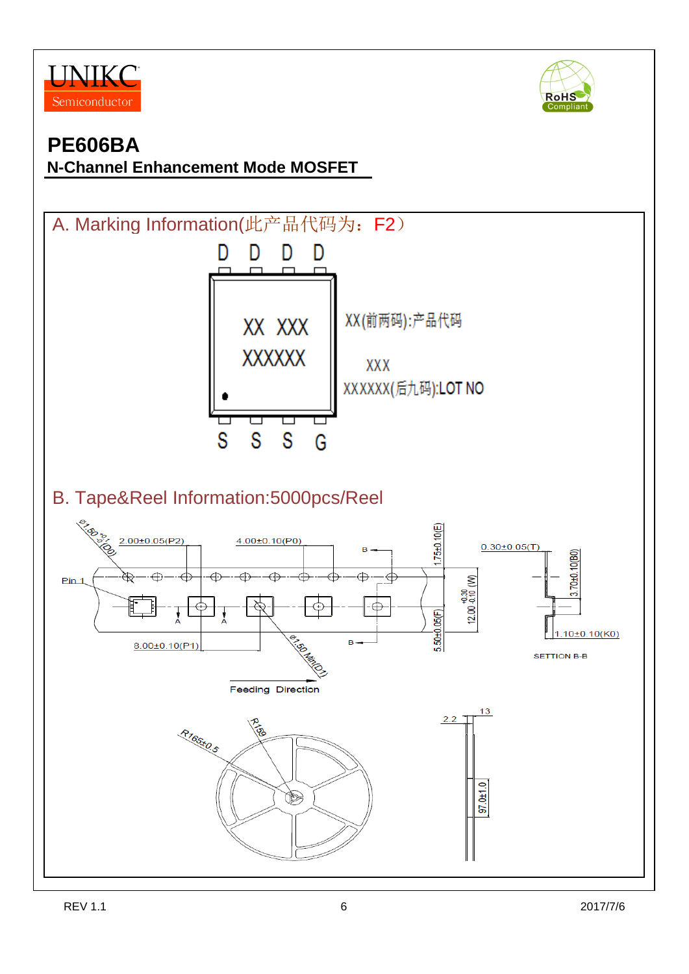



## **N-Channel Enhancement Mode MOSFET**

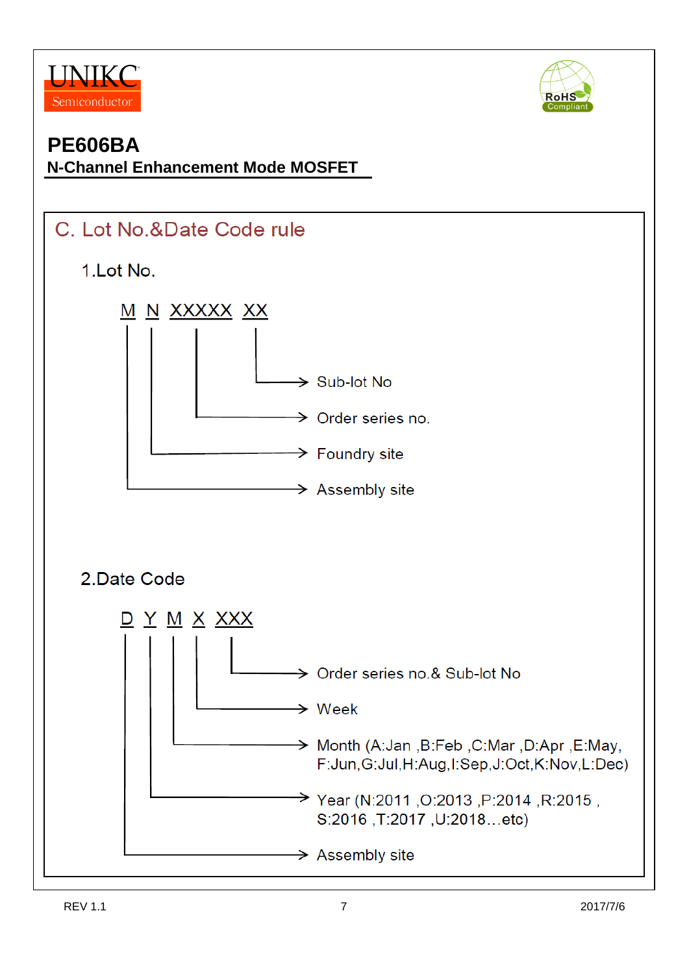



### **N-Channel Enhancement Mode MOSFET**